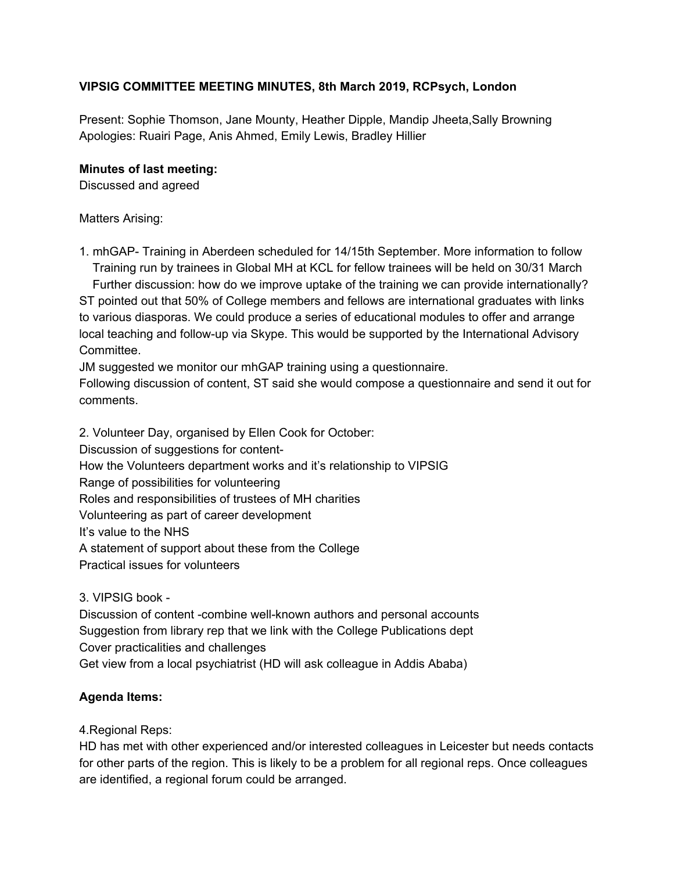## **VIPSIG COMMITTEE MEETING MINUTES, 8th March 2019, RCPsych, London**

Present: Sophie Thomson, Jane Mounty, Heather Dipple, Mandip Jheeta,Sally Browning Apologies: Ruairi Page, Anis Ahmed, Emily Lewis, Bradley Hillier

## **Minutes of last meeting:**

Discussed and agreed

Matters Arising:

1. mhGAP- Training in Aberdeen scheduled for 14/15th September. More information to follow Training run by trainees in Global MH at KCL for fellow trainees will be held on 30/31 March Further discussion: how do we improve uptake of the training we can provide internationally?

ST pointed out that 50% of College members and fellows are international graduates with links to various diasporas. We could produce a series of educational modules to offer and arrange local teaching and follow-up via Skype. This would be supported by the International Advisory Committee.

JM suggested we monitor our mhGAP training using a questionnaire.

Following discussion of content, ST said she would compose a questionnaire and send it out for comments.

2. Volunteer Day, organised by Ellen Cook for October: Discussion of suggestions for content-How the Volunteers department works and it's relationship to VIPSIG Range of possibilities for volunteering Roles and responsibilities of trustees of MH charities Volunteering as part of career development It's value to the NHS A statement of support about these from the College Practical issues for volunteers

3. VIPSIG book -

Discussion of content -combine well-known authors and personal accounts Suggestion from library rep that we link with the College Publications dept Cover practicalities and challenges Get view from a local psychiatrist (HD will ask colleague in Addis Ababa)

## **Agenda Items:**

4.Regional Reps:

HD has met with other experienced and/or interested colleagues in Leicester but needs contacts for other parts of the region. This is likely to be a problem for all regional reps. Once colleagues are identified, a regional forum could be arranged.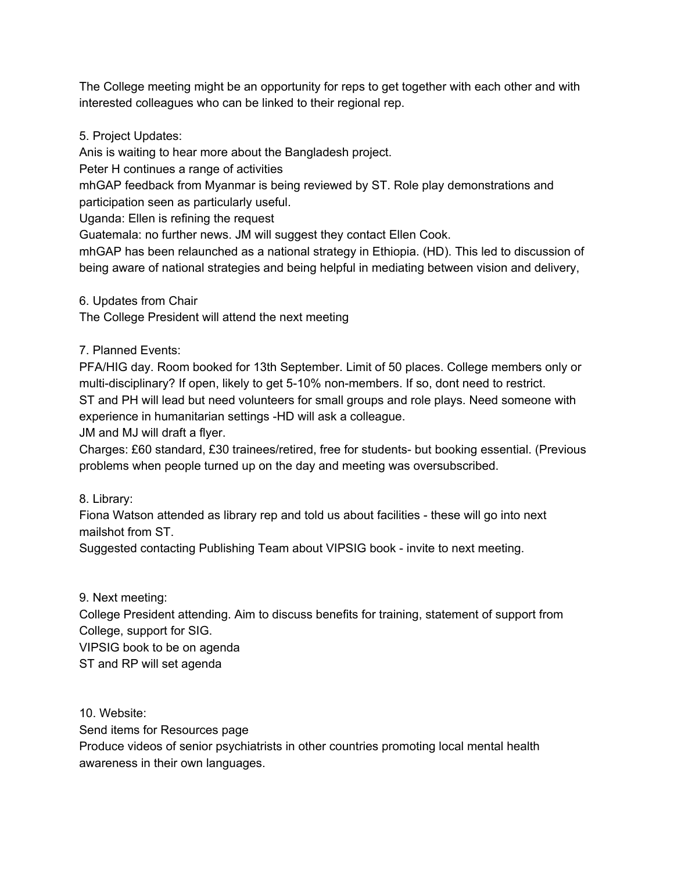The College meeting might be an opportunity for reps to get together with each other and with interested colleagues who can be linked to their regional rep.

5. Project Updates:

Anis is waiting to hear more about the Bangladesh project.

Peter H continues a range of activities

mhGAP feedback from Myanmar is being reviewed by ST. Role play demonstrations and participation seen as particularly useful.

Uganda: Ellen is refining the request

Guatemala: no further news. JM will suggest they contact Ellen Cook.

mhGAP has been relaunched as a national strategy in Ethiopia. (HD). This led to discussion of being aware of national strategies and being helpful in mediating between vision and delivery,

6. Updates from Chair

The College President will attend the next meeting

7. Planned Events:

PFA/HIG day. Room booked for 13th September. Limit of 50 places. College members only or multi-disciplinary? If open, likely to get 5-10% non-members. If so, dont need to restrict. ST and PH will lead but need volunteers for small groups and role plays. Need someone with experience in humanitarian settings -HD will ask a colleague.

JM and MJ will draft a flyer.

Charges: £60 standard, £30 trainees/retired, free for students- but booking essential. (Previous problems when people turned up on the day and meeting was oversubscribed.

8. Library:

Fiona Watson attended as library rep and told us about facilities - these will go into next mailshot from ST.

Suggested contacting Publishing Team about VIPSIG book - invite to next meeting.

9. Next meeting:

College President attending. Aim to discuss benefits for training, statement of support from College, support for SIG. VIPSIG book to be on agenda

ST and RP will set agenda

10. Website:

Send items for Resources page

Produce videos of senior psychiatrists in other countries promoting local mental health awareness in their own languages.